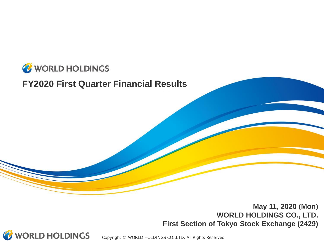

**May 11, 2020 (Mon) WORLD HOLDINGS CO., LTD. First Section of Tokyo Stock Exchange (2429)**

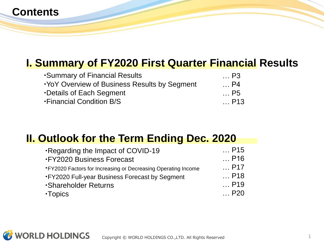# **Contents**

# **I. Summary of FY2020 First Quarter Financial Results**

| •Summary of Financial Results                 | … P3        |
|-----------------------------------------------|-------------|
| . YoY Overview of Business Results by Segment | $\ldots$ P4 |
| •Details of Each Segment                      | … P5        |
| <b>.</b> Financial Condition B/S              | … P13       |

## **II. Outlook for the Term Ending Dec. 2020**

| Regarding the Impact of COVID-19                               | $$ P15       |
|----------------------------------------------------------------|--------------|
| <b>.FY2020 Business Forecast</b>                               | P16          |
| • FY2020 Factors for Increasing or Decreasing Operating Income | P17          |
| •FY2020 Full-year Business Forecast by Segment                 | $$ P18       |
| <b>Shareholder Returns</b>                                     | P19          |
| $\cdot$ Topics                                                 | $\ldots$ P20 |

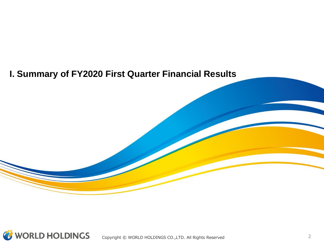

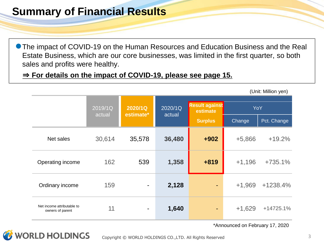# **Summary of Financial Results**

● The impact of COVID-19 on the Human Resources and Education Business and the Real Estate Business, which are our core businesses, was limited in the first quarter, so both sales and profits were healthy.

#### ⇒ **For details on the impact of COVID-19, please see page 15.**

2019/1Q actual **2020/1Q estimate\*** 2020/1Q actual **Result against estimate** YoY **Surplus** Change Pct. Change Net sales 30,614 35,578 **36,480 +902** +5,866 +19.2% Operating income 162 539 1,358 +819 +1,196 +735.1% Ordinary income 159 - **2,128** - +1,969 +1238.4% Net income attributable to ncome attributable to **11** - **1,640** - **+1**,629 +14725.1%

(Unit: Million yen)

\*Announced on February 17, 2020

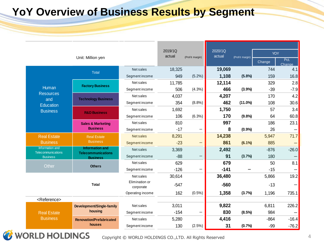# **YoY Overview of Business Results by Segment**

|                                              |                                              |                             | 2019/1Q<br>actual |                  | 2020/1Q<br>actual |                 | YOY           |                |
|----------------------------------------------|----------------------------------------------|-----------------------------|-------------------|------------------|-------------------|-----------------|---------------|----------------|
|                                              | Unit: Million yen                            |                             |                   | (Prof it margin) |                   | (Profit margin) | <b>Change</b> | Pct.<br>Change |
|                                              | Total                                        | Net sales                   | 18,325            |                  | 19,069            |                 | 744           | 4.1            |
|                                              |                                              | Segment income              | 949               | $(5.2\%)$        | 1,108             | (5.8%)          | 159           | 16.8           |
|                                              |                                              | Net sales                   | 11,785            |                  | 12,114            |                 | 329           | 2.8            |
| Human                                        | <b>Factory Business</b>                      | Segment income              | 506               | (4.3%)           | 466               | (3.9%)          | $-39$         | $-7.9$         |
| <b>Resources</b>                             | <b>Technology Business</b>                   | Net sales                   | 4,037             |                  | 4,207             |                 | 170           | 4.2            |
| and<br>Education                             |                                              | Segment income              | 354               | (8.8%)           | 462               | $(11.0\%)$      | 108           | 30.6           |
| <b>Business</b>                              | <b>R&amp;D Business</b>                      | Net sales                   | 1,692             |                  | 1,750             |                 | 57            | 3.4            |
|                                              |                                              | Segment income              | 106               | (6.3%)           | 170               | (9.8%)          | 64            | 60.8           |
|                                              | <b>Sales &amp; Marketing</b>                 | Net sales                   | 810               |                  | 997               |                 | 186           | 23.1           |
|                                              | <b>Business</b>                              | Segment income              | $-17$             |                  | 8                 | (0.9%           | 26            |                |
| <b>Real Estate</b>                           | <b>Real Estate</b>                           | <b>Net sales</b>            | 8,291             |                  | 14,238            |                 | 5,947         | 71.7           |
| <b>Business</b>                              | <b>Business</b>                              | Segment income              | $-23$             | -                | 861               | $(6.1\%)$       | 885           |                |
| Information and<br><b>Telecommunications</b> | Information and                              | Net sales                   | 3,369             |                  | 2,492             |                 | $-876$        | $-26.0$        |
| <b>Business</b>                              | <b>Telecommunications</b><br><b>Business</b> | Segment income              | $-88$             | -                | 91                | (3.7%)          | 180           |                |
| Other                                        | <b>Others</b>                                | Net sales                   | 629               |                  | 679               |                 | 50            | 8.1            |
|                                              |                                              | Segment income              | $-126$            |                  | $-141$            |                 | $-15$         |                |
|                                              |                                              | Net sales                   | 30,614            |                  | 36,480            |                 | 5,866         | 19.2           |
|                                              | Total                                        | Elimination or<br>corporate | $-547$            |                  | $-560$            |                 | $-13$         |                |
|                                              |                                              | Operating income            | 162               | $(0.5\%)$        | 1,358             | (3.7%)          | 1,196         | 735.1          |
| <reference></reference>                      |                                              |                             |                   |                  |                   |                 |               |                |
|                                              | Development/Single-family                    | Net sales                   | 3,011             |                  | 9,822             |                 | 6,811         | 226.2          |
| <b>Real Estate</b>                           | housing                                      | Segment income              | $-154$            | —                | 830               | $(8.5\%)$       | 984           |                |
| <b>Business</b>                              | <b>Renovation/Prefabricated</b>              | Net sales                   | 5,280             |                  | 4,416             |                 | $-864$        | $-16.4$        |
|                                              | houses                                       | Segment income              | 130               | (2.5%)           | 31                | (0.7%           | $-99$         | $-76.2$        |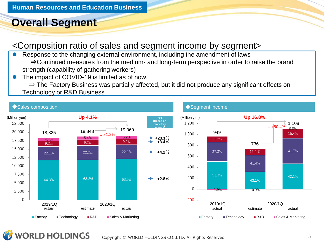## **Overall Segment**

### <Composition ratio of sales and segment income by segment>

- Response to the changing external environment, including the amendment of laws ⇒Continued measures from the medium- and long-term perspective in order to raise the brand strength (capability of gathering workers)
- ⚫ The impact of COVID-19 is limited as of now.

⇒ The Factory Business was partially affected, but it did not produce any significant effects on Technology or R&D Business.



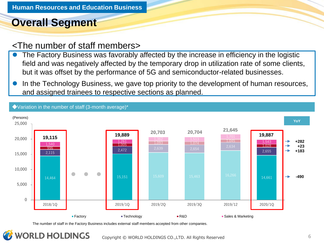## **Overall Segment**

#### <The number of staff members>

- ⚫ The Factory Business was favorably affected by the increase in efficiency in the logistic field and was negatively affected by the temporary drop in utilization rate of some clients, but it was offset by the performance of 5G and semiconductor-related businesses.
- In the Technology Business, we gave top priority to the development of human resources, and assigned trainees to respective sections as planned.



The number of staff in the Factory Business includes external staff members accepted from other companies.

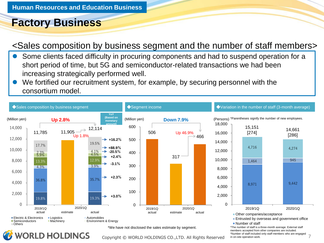#### **Human Resources and Education Business**

## **Factory Business**

### <Sales composition by business segment and the number of staff members>

- ⚫ Some clients faced difficulty in procuring components and had to suspend operation for a short period of time, but 5G and semiconductor-related transactions we had been increasing strategically performed well.
- ⚫ We fortified our recruitment system, for example, by securing personnel with the consortium model.



**WORLD HOLDINGS** 

Copyright © WORLD HOLDINGS CO.,LTD. All Rights Reserved 7

in on-site operation work.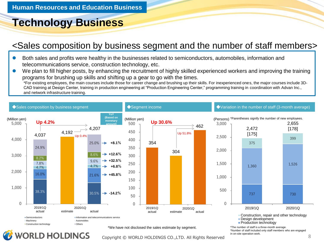## **Technology Business**

### <Sales composition by business segment and the number of staff members>

- ⚫ Both sales and profits were healthy in the businesses related to semiconductors, automobiles, information and telecommunications service, construction technology, etc.
- We plan to fill higher posts, by enhancing the recruitment of highly skilled experienced workers and improving the training programs for brushing up skills and shifting up a gear to go with the times.

\*For existing employees, the main courses include those for career change and brushing up their skills. For inexperienced ones, the major courses include 3D-CAD training at Design Center, training in production engineering at "Production Engineering Center," programming training in coordination with Advan Inc., and network infrastructure training.



**WORLD HOLDINGS** Copyright © WORLD HOLDINGS CO.,LTD. All Rights Reserved 8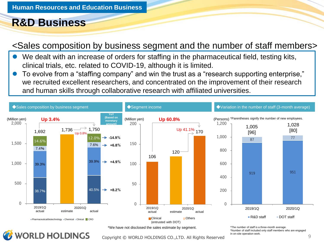## **R&D Business**

### <Sales composition by business segment and the number of staff members>

- We dealt with an increase of orders for staffing in the pharmaceutical field, testing kits, clinical trials, etc. related to COVID-19, although it is limited.
- ⚫ To evolve from a "staffing company" and win the trust as a "research supporting enterprise," we recruited excellent researchers, and concentrated on the improvement of their research and human skills through collaborative research with affiliated universities.



**WORLD HOLDINGS** 

Copyright © WORLD HOLDINGS CO.,LTD. All Rights Reserved 9

in on-site operation work.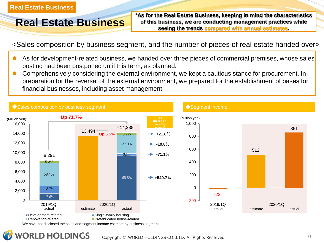#### **Real Estate Business**

## **Real Estate Business**

**\*As for the Real Estate Business, keeping in mind the characteristics of this business, we are conducting management practices while seeing the trends compared with annual estimates.** 

<Sales composition by business segment, and the number of pieces of real estate handed over>

- As for development-related business, we handed over three pieces of commercial premises, whose sales posting had been postponed until this term, as planned.
- ⚫ Comprehensively considering the external environment, we kept a cautious stance for procurement. In preparation for the reversal of the external environment, we prepared for the establishment of bases for financial businesses, including asset management.



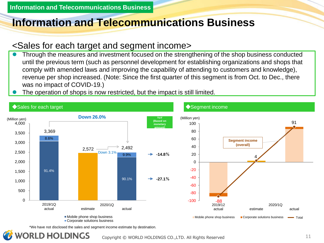**Information and Telecommunications Business**

## **Information and Telecommunications Business**

#### <Sales for each target and segment income>

- ⚫ Through the measures and investment focused on the strengthening of the shop business conducted until the previous term (such as personnel development for establishing organizations and shops that comply with amended laws and improving the capability of attending to customers and knowledge), revenue per shop increased. (Note: Since the first quarter of this segment is from Oct. to Dec., there was no impact of COVID-19.)
- ⚫ The operation of shops is now restricted, but the impact is still limited.



\*We have not disclosed the sales and segment income estimate by destination.

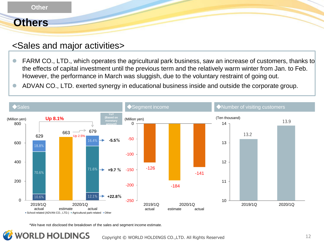**Other**

### **Others**

#### <Sales and major activities>

- FARM CO., LTD., which operates the agricultural park business, saw an increase of customers, thanks to the effects of capital investment until the previous term and the relatively warm winter from Jan. to Feb. However, the performance in March was sluggish, due to the voluntary restraint of going out.
- ⚫ ADVAN CO., LTD. exerted synergy in educational business inside and outside the corporate group.



\*We have not disclosed the breakdown of the sales and segment income estimate.

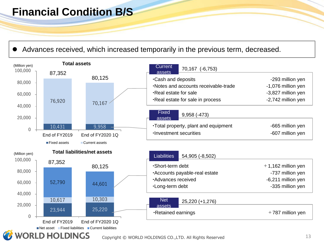# **Financial Condition B/S**

#### ⚫ Advances received, which increased temporarily in the previous term, decreased.

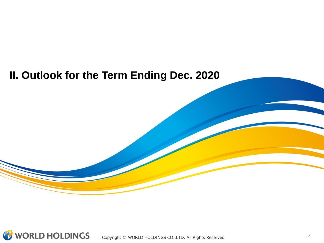# **II. Outlook for the Term Ending Dec. 2020**

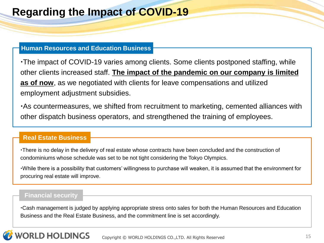# **Regarding the Impact of COVID-19**

#### **Human Resources and Education Business**

The impact of COVID-19 varies among clients. Some clients postponed staffing, while other clients increased staff. **The impact of the pandemic on our company is limited as of now**, as we negotiated with clients for leave compensations and utilized employment adjustment subsidies.

As countermeasures, we shifted from recruitment to marketing, cemented alliances with other dispatch business operators, and strengthened the training of employees.

#### **Real Estate Business**

There is no delay in the delivery of real estate whose contracts have been concluded and the construction of condominiums whose schedule was set to be not tight considering the Tokyo Olympics.

While there is a possibility that customers' willingness to purchase will weaken, it is assumed that the environment for procuring real estate will improve.

#### **Financial security**

Cash management is judged by applying appropriate stress onto sales for both the Human Resources and Education Business and the Real Estate Business, and the commitment line is set accordingly.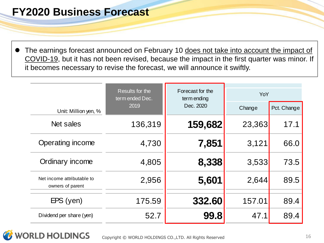# **FY2020 Business Forecast**

The earnings forecast announced on February 10 does not take into account the impact of COVID-19, but it has not been revised, because the impact in the first quarter was minor. If it becomes necessary to revise the forecast, we will announce it swiftly.

|                                                | Results for the<br>term ended Dec. | Forecast for the<br>term ending | YoY    |             |
|------------------------------------------------|------------------------------------|---------------------------------|--------|-------------|
| Unit: Million yen, %                           | 2019                               | Dec. 2020                       | Change | Pct. Change |
| Net sales                                      | 136,319                            | 159,682                         | 23,363 | 17.1        |
| Operating income                               | 4,730                              | 7,851                           | 3,121  | 66.0        |
| Ordinary income                                | 4,805                              | 8,338                           | 3,533  | 73.5        |
| Net income attributable to<br>owners of parent | 2,956                              | 5,601                           | 2,644  | 89.5        |
| EPS (yen)                                      | 175.59                             | 332.60                          | 157.01 | 89.4        |
| Dividend per share (yen)                       | 52.7                               | 99.8                            | 47.1   | 89.4        |

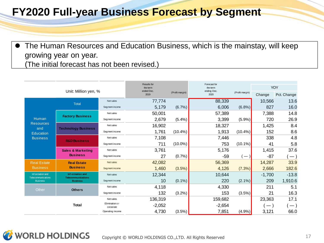## **FY2020 Full-year Business Forecast by Segment**

⚫ The Human Resources and Education Business, which is the mainstay, will keep growing year on year. (The initial forecast has not been revised.)

| Unit: Million yen, %                       |                                               | Results for<br>the term<br>ended Dec. |                 | Forecast for<br>the term<br>ending Dec. |                 | <b>YOY</b>               |                          |                          |
|--------------------------------------------|-----------------------------------------------|---------------------------------------|-----------------|-----------------------------------------|-----------------|--------------------------|--------------------------|--------------------------|
|                                            |                                               | 2019                                  | (Profit margin) | 2020                                    | (Profit margin) | Change                   | Pct. Change              |                          |
|                                            | <b>Total</b>                                  | Net sales                             | 77,774          |                                         | 88,339          |                          | 10,566                   | 13.6                     |
|                                            |                                               | Segment income                        | 5,179           | $(6.7\%)$                               | 6,006           | (6.8%)                   | 827                      | 16.0                     |
| <b>Factory Business</b><br>Human           |                                               | Net sales                             | 50,001          |                                         | 57,389          |                          | 7,388                    | 14.8                     |
|                                            |                                               | Segment income                        | 2,679           | $(5.4\%)$                               | 3,399           | $(5.9\%)$                | 720                      | 26.9                     |
| <b>Resources</b><br>and                    | <b>Technology Business</b>                    | Net sales                             | 16,902          |                                         | 18,327          |                          | 1,425                    | 8.4                      |
| <b>Education</b>                           |                                               | Segment income                        | 1,761           | $(10.4\%)$                              | 1,913           | $(10.4\%)$               | 152                      | 8.6                      |
| <b>Business</b><br><b>R&amp;D Business</b> | Net sales                                     | 7,108                                 |                 | 7,446                                   |                 | 338                      | 4.8                      |                          |
|                                            |                                               | Segment income                        | 711             | $(10.0\%)$                              | 753             | $(10.1\%)$               | 41                       | 5.8                      |
|                                            | <b>Sales &amp; Marketing</b>                  | Net sales                             | 3,761           |                                         | 5,176           |                          | 1,415                    | 37.6                     |
| <b>Business</b>                            |                                               | Segment income                        | 27              | (0.7%                                   | -59             | $\overline{\phantom{m}}$ | $-87$                    | $-$ )                    |
| <b>Real Estate</b>                         | <b>Real Estate</b>                            | Net sales                             | 42,082          |                                         | 56,369          |                          | 14,287                   | 33.9                     |
| <b>Business</b><br><b>Business</b>         | Segment income                                | 1,460                                 | (3.5%)          | 4,126                                   | (7.3%)          | 2,666                    | 182.6                    |                          |
| Inf ormation and<br>Telecommunications     | Inf ormation and<br><b>Telecommunications</b> | Net sales                             | 12,344          |                                         | 10,644          |                          | $-1,700$                 | $-13.8$                  |
| <b>Business</b>                            | <b>Business</b>                               | Segment income                        | 10              | $(0.1\%)$                               | 220             | $(2.1\%)$                | 209                      | 1,910.6                  |
| Other                                      | <b>Others</b>                                 | Net sales                             | 4,118           |                                         | 4,330           |                          | 211                      | 5.1                      |
|                                            |                                               | Segment income                        | 132             | $(3.2\%)$                               | 153             | $(3.5\%)$                | 21                       | 16.3                     |
|                                            | <b>Total</b>                                  | Net sales                             | 136,319         |                                         | 159,682         |                          | 23,363                   | 17.1                     |
|                                            |                                               | Elimination o r<br>corporate          | $-2,052$        |                                         | $-2,654$        |                          | $\overline{\phantom{0}}$ | $\overline{\phantom{0}}$ |
|                                            |                                               | Operating income                      | 4,730           | $(3.5\%)$                               | 7,851           | $(4.9\%)$                | 3,121                    | 66.0                     |

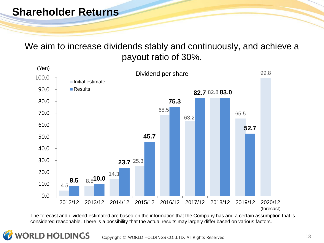## **Shareholder Returns**

**WORLD HOLDINGS** 

We aim to increase dividends stably and continuously, and achieve a payout ratio of 30%.



The forecast and dividend estimated are based on the information that the Company has and a certain assumption that is considered reasonable. There is a possibility that the actual results may largely differ based on various factors.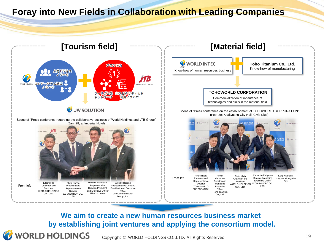### **Foray into New Fields in Collaboration with Leading Companies**



**We aim to create a new human resources business market by establishing joint ventures and applying the consortium model.**

Copyright © WORLD HOLDINGS CO., LTD. All Rights Reserved 19 19

WORLD HOLDINGS